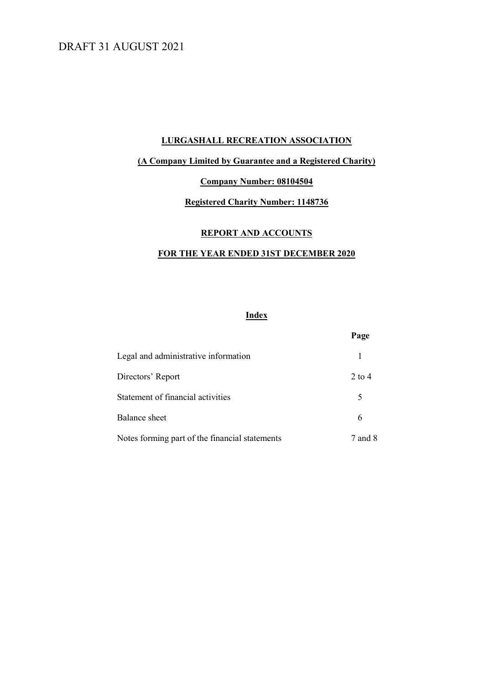# DRAFT 31 AUGUST 2021

# LURGASHALL RECREATION ASSOCIATION

# (A Company Limited by Guarantee and a Registered Charity)

# Company Number: 08104504

# Registered Charity Number: 1148736

#### REPORT AND ACCOUNTS

# FOR THE YEAR ENDED 31ST DECEMBER 2020

# Index

|                                                | Page     |
|------------------------------------------------|----------|
| Legal and administrative information           |          |
| Directors' Report                              | $2$ to 4 |
| Statement of financial activities              | 5        |
| Balance sheet                                  | 6        |
| Notes forming part of the financial statements | 7 and 8  |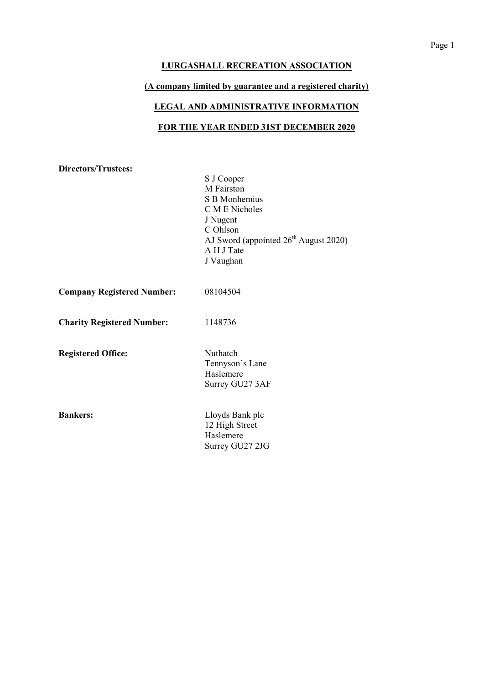### (A company limited by guarantee and a registered charity)

# LEGAL AND ADMINISTRATIVE INFORMATION

# FOR THE YEAR ENDED 31ST DECEMBER 2020

Directors/Trustees:

S J Cooper M Fairston S B Monhemius C M E Nicholes J Nugent C Ohlson AJ Sword (appointed  $26<sup>th</sup>$  August 2020) A H J Tate J Vaughan

| <b>Company Registered Number:</b> | 08104504 |
|-----------------------------------|----------|
|-----------------------------------|----------|

Charity Registered Number: 1148736

Registered Office: Nuthatch

Tennyson's Lane Haslemere Surrey GU27 3AF

Bankers: Lloyds Bank plc 12 High Street Haslemere Surrey GU27 2JG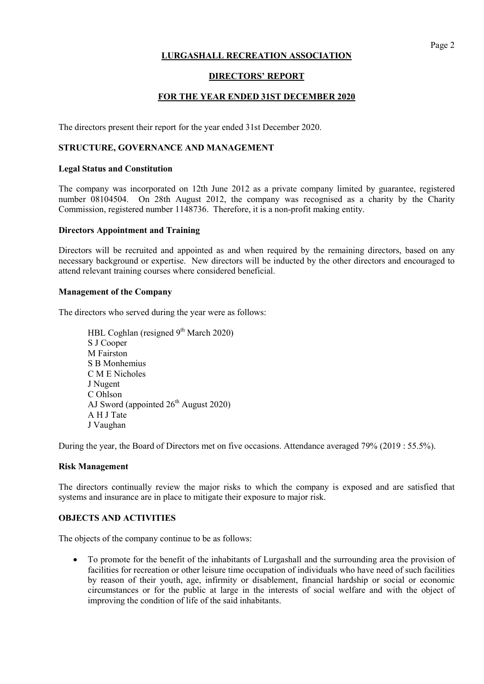# Page 2

# LURGASHALL RECREATION ASSOCIATION

# DIRECTORS' REPORT

## FOR THE YEAR ENDED 31ST DECEMBER 2020

The directors present their report for the year ended 31st December 2020.

### STRUCTURE, GOVERNANCE AND MANAGEMENT

#### Legal Status and Constitution

The company was incorporated on 12th June 2012 as a private company limited by guarantee, registered number 08104504. On 28th August 2012, the company was recognised as a charity by the Charity Commission, registered number 1148736. Therefore, it is a non-profit making entity.

#### Directors Appointment and Training

Directors will be recruited and appointed as and when required by the remaining directors, based on any necessary background or expertise. New directors will be inducted by the other directors and encouraged to attend relevant training courses where considered beneficial.

#### Management of the Company

The directors who served during the year were as follows:

HBL Coghlan (resigned  $9<sup>th</sup>$  March 2020) S J Cooper M Fairston S B Monhemius C M E Nicholes J Nugent C Ohlson AJ Sword (appointed  $26<sup>th</sup>$  August 2020) A H J Tate J Vaughan

During the year, the Board of Directors met on five occasions. Attendance averaged 79% (2019 : 55.5%).

#### Risk Management

The directors continually review the major risks to which the company is exposed and are satisfied that systems and insurance are in place to mitigate their exposure to major risk.

## OBJECTS AND ACTIVITIES

The objects of the company continue to be as follows:

 To promote for the benefit of the inhabitants of Lurgashall and the surrounding area the provision of facilities for recreation or other leisure time occupation of individuals who have need of such facilities by reason of their youth, age, infirmity or disablement, financial hardship or social or economic circumstances or for the public at large in the interests of social welfare and with the object of improving the condition of life of the said inhabitants.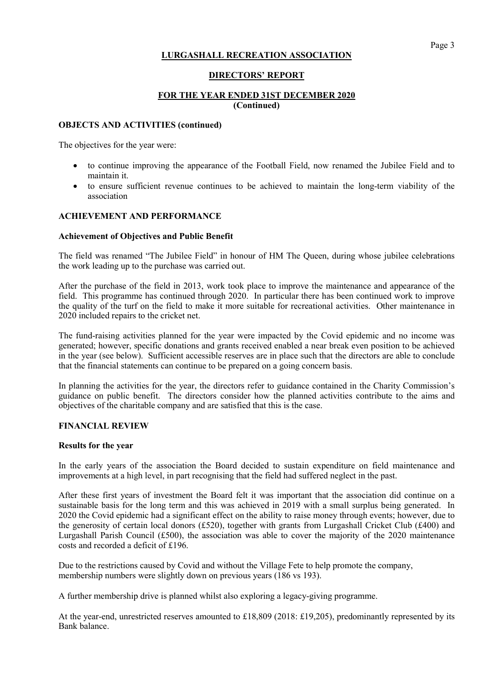# DIRECTORS' REPORT

# FOR THE YEAR ENDED 31ST DECEMBER 2020 (Continued)

#### OBJECTS AND ACTIVITIES (continued)

The objectives for the year were:

- to continue improving the appearance of the Football Field, now renamed the Jubilee Field and to maintain it.
- to ensure sufficient revenue continues to be achieved to maintain the long-term viability of the association

# ACHIEVEMENT AND PERFORMANCE

#### Achievement of Objectives and Public Benefit

The field was renamed "The Jubilee Field" in honour of HM The Queen, during whose jubilee celebrations the work leading up to the purchase was carried out.

After the purchase of the field in 2013, work took place to improve the maintenance and appearance of the field. This programme has continued through 2020. In particular there has been continued work to improve the quality of the turf on the field to make it more suitable for recreational activities. Other maintenance in 2020 included repairs to the cricket net.

The fund-raising activities planned for the year were impacted by the Covid epidemic and no income was generated; however, specific donations and grants received enabled a near break even position to be achieved in the year (see below). Sufficient accessible reserves are in place such that the directors are able to conclude that the financial statements can continue to be prepared on a going concern basis.

In planning the activities for the year, the directors refer to guidance contained in the Charity Commission's guidance on public benefit. The directors consider how the planned activities contribute to the aims and objectives of the charitable company and are satisfied that this is the case.

#### FINANCIAL REVIEW

#### Results for the year

In the early years of the association the Board decided to sustain expenditure on field maintenance and improvements at a high level, in part recognising that the field had suffered neglect in the past.

After these first years of investment the Board felt it was important that the association did continue on a sustainable basis for the long term and this was achieved in 2019 with a small surplus being generated. In 2020 the Covid epidemic had a significant effect on the ability to raise money through events; however, due to the generosity of certain local donors (£520), together with grants from Lurgashall Cricket Club (£400) and Lurgashall Parish Council (£500), the association was able to cover the majority of the 2020 maintenance costs and recorded a deficit of £196.

Due to the restrictions caused by Covid and without the Village Fete to help promote the company, membership numbers were slightly down on previous years (186 vs 193).

A further membership drive is planned whilst also exploring a legacy-giving programme.

At the year-end, unrestricted reserves amounted to £18,809 (2018: £19,205), predominantly represented by its Bank balance.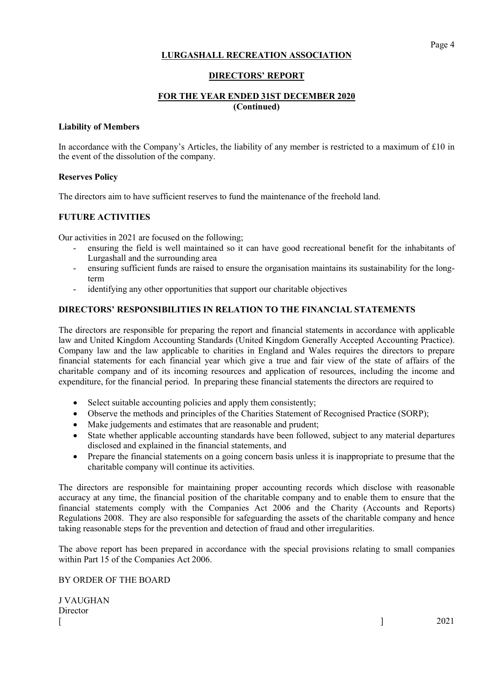#### DIRECTORS' REPORT

# FOR THE YEAR ENDED 31ST DECEMBER 2020 (Continued)

#### Liability of Members

In accordance with the Company's Articles, the liability of any member is restricted to a maximum of £10 in the event of the dissolution of the company.

## Reserves Policy

The directors aim to have sufficient reserves to fund the maintenance of the freehold land.

## FUTURE ACTIVITIES

Our activities in 2021 are focused on the following;

- ensuring the field is well maintained so it can have good recreational benefit for the inhabitants of Lurgashall and the surrounding area
- ensuring sufficient funds are raised to ensure the organisation maintains its sustainability for the longterm
- identifying any other opportunities that support our charitable objectives

## DIRECTORS' RESPONSIBILITIES IN RELATION TO THE FINANCIAL STATEMENTS

The directors are responsible for preparing the report and financial statements in accordance with applicable law and United Kingdom Accounting Standards (United Kingdom Generally Accepted Accounting Practice). Company law and the law applicable to charities in England and Wales requires the directors to prepare financial statements for each financial year which give a true and fair view of the state of affairs of the charitable company and of its incoming resources and application of resources, including the income and expenditure, for the financial period. In preparing these financial statements the directors are required to

- Select suitable accounting policies and apply them consistently;
- Observe the methods and principles of the Charities Statement of Recognised Practice (SORP);
- Make judgements and estimates that are reasonable and prudent;
- State whether applicable accounting standards have been followed, subject to any material departures disclosed and explained in the financial statements, and
- Prepare the financial statements on a going concern basis unless it is inappropriate to presume that the charitable company will continue its activities.

The directors are responsible for maintaining proper accounting records which disclose with reasonable accuracy at any time, the financial position of the charitable company and to enable them to ensure that the financial statements comply with the Companies Act 2006 and the Charity (Accounts and Reports) Regulations 2008. They are also responsible for safeguarding the assets of the charitable company and hence taking reasonable steps for the prevention and detection of fraud and other irregularities.

The above report has been prepared in accordance with the special provisions relating to small companies within Part 15 of the Companies Act 2006.

#### BY ORDER OF THE BOARD

J VAUGHAN **Director** [ ] 2021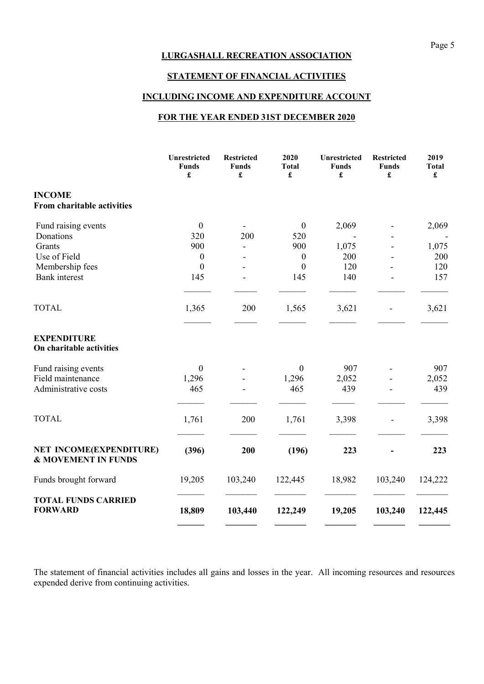# STATEMENT OF FINANCIAL ACTIVITIES

# INCLUDING INCOME AND EXPENDITURE ACCOUNT

# FOR THE YEAR ENDED 31ST DECEMBER 2020

|                                                           | Unrestricted<br><b>Funds</b><br>£ | <b>Restricted</b><br><b>Funds</b><br>£ | 2020<br><b>Total</b><br>$\pmb{\mathfrak{L}}$ | Unrestricted<br><b>Funds</b><br>£ | <b>Restricted</b><br><b>Funds</b><br>£ | 2019<br><b>Total</b><br>$\pmb{\mathfrak{L}}$ |
|-----------------------------------------------------------|-----------------------------------|----------------------------------------|----------------------------------------------|-----------------------------------|----------------------------------------|----------------------------------------------|
| <b>INCOME</b><br>From charitable activities               |                                   |                                        |                                              |                                   |                                        |                                              |
| Fund raising events                                       | $\boldsymbol{0}$                  |                                        | $\boldsymbol{0}$                             | 2,069                             |                                        | 2,069                                        |
| Donations                                                 | 320                               | 200                                    | 520                                          |                                   |                                        |                                              |
| Grants                                                    | 900                               |                                        | 900                                          | 1,075                             |                                        | 1,075                                        |
| Use of Field                                              | $\boldsymbol{0}$                  |                                        | $\boldsymbol{0}$                             | 200                               |                                        | 200                                          |
| Membership fees                                           | $\boldsymbol{0}$                  |                                        | $\boldsymbol{0}$                             | 120                               |                                        | 120                                          |
| <b>Bank</b> interest                                      | 145                               |                                        | 145                                          | 140                               |                                        | 157                                          |
| <b>TOTAL</b>                                              | 1,365                             | 200                                    | 1,565                                        | 3,621                             |                                        | 3,621                                        |
| <b>EXPENDITURE</b><br>On charitable activities            |                                   |                                        |                                              |                                   |                                        |                                              |
| Fund raising events                                       | $\mathbf{0}$                      |                                        | $\boldsymbol{0}$                             | 907                               |                                        | 907                                          |
| Field maintenance                                         | 1,296                             |                                        | 1,296                                        | 2,052                             |                                        | 2,052                                        |
| Administrative costs                                      | 465                               |                                        | 465                                          | 439                               |                                        | 439                                          |
| <b>TOTAL</b>                                              | 1,761                             | 200                                    | 1,761                                        | 3,398                             |                                        | 3,398                                        |
| NET INCOME(EXPENDITURE)<br><b>&amp; MOVEMENT IN FUNDS</b> | (396)                             | 200                                    | (196)                                        | 223                               |                                        | 223                                          |
| Funds brought forward                                     | 19,205                            | 103,240                                | 122,445                                      | 18,982                            | 103,240                                | 124,222                                      |
| <b>TOTAL FUNDS CARRIED</b><br><b>FORWARD</b>              | 18,809                            | 103,440                                | 122,249                                      | 19,205                            | 103,240                                | 122,445                                      |

The statement of financial activities includes all gains and losses in the year. All incoming resources and resources expended derive from continuing activities.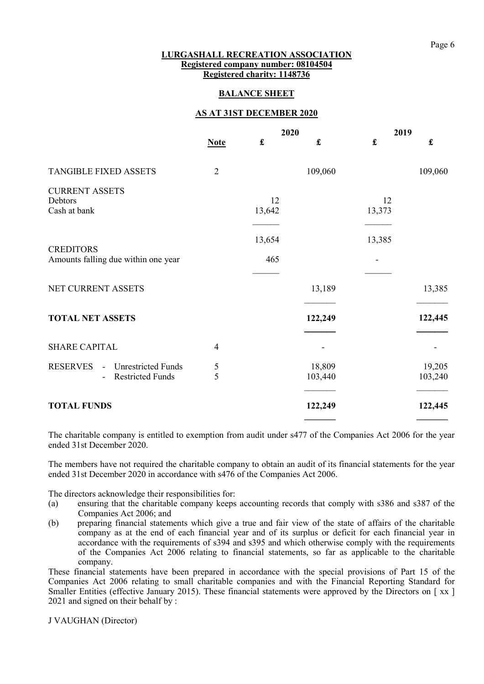#### LURGASHALL RECREATION ASSOCIATION Registered company number: 08104504 Registered charity: 1148736

#### BALANCE SHEET

#### AS AT 31ST DECEMBER 2020

|                                                                                           |                | 2020         |                   | 2019         |                   |
|-------------------------------------------------------------------------------------------|----------------|--------------|-------------------|--------------|-------------------|
|                                                                                           | <b>Note</b>    | $\mathbf f$  | $\mathbf f$       | $\mathbf f$  | £                 |
| TANGIBLE FIXED ASSETS                                                                     | $\overline{2}$ |              | 109,060           |              | 109,060           |
| <b>CURRENT ASSETS</b><br>Debtors<br>Cash at bank                                          |                | 12<br>13,642 |                   | 12<br>13,373 |                   |
| <b>CREDITORS</b>                                                                          |                | 13,654       |                   | 13,385       |                   |
| Amounts falling due within one year                                                       |                | 465          |                   |              |                   |
| NET CURRENT ASSETS                                                                        |                |              | 13,189            |              | 13,385            |
| <b>TOTAL NET ASSETS</b>                                                                   |                |              | 122,249           |              | 122,445           |
| <b>SHARE CAPITAL</b>                                                                      | $\overline{4}$ |              |                   |              |                   |
| <b>RESERVES</b><br><b>Unrestricted Funds</b><br>$\blacksquare$<br><b>Restricted Funds</b> | $\frac{5}{5}$  |              | 18,809<br>103,440 |              | 19,205<br>103,240 |
| <b>TOTAL FUNDS</b>                                                                        |                |              | 122,249           |              | 122,445           |

The charitable company is entitled to exemption from audit under s477 of the Companies Act 2006 for the year ended 31st December 2020.

The members have not required the charitable company to obtain an audit of its financial statements for the year ended 31st December 2020 in accordance with s476 of the Companies Act 2006.

The directors acknowledge their responsibilities for:

- (a) ensuring that the charitable company keeps accounting records that comply with s386 and s387 of the Companies Act 2006; and
- (b) preparing financial statements which give a true and fair view of the state of affairs of the charitable company as at the end of each financial year and of its surplus or deficit for each financial year in accordance with the requirements of s394 and s395 and which otherwise comply with the requirements of the Companies Act 2006 relating to financial statements, so far as applicable to the charitable company.

These financial statements have been prepared in accordance with the special provisions of Part 15 of the Companies Act 2006 relating to small charitable companies and with the Financial Reporting Standard for Smaller Entities (effective January 2015). These financial statements were approved by the Directors on [xx] 2021 and signed on their behalf by :

J VAUGHAN (Director)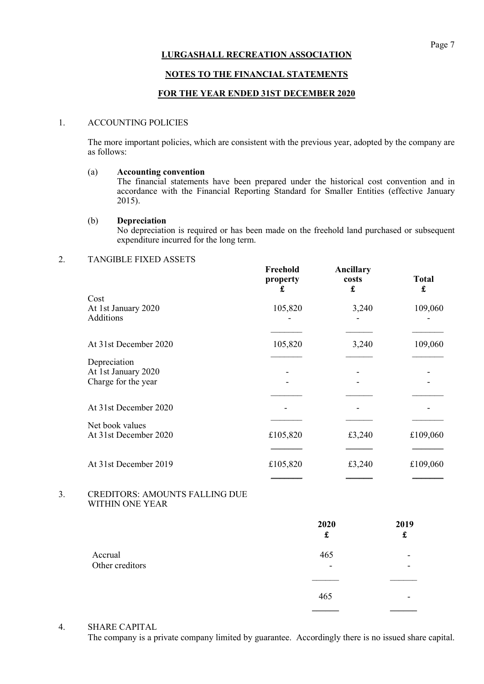# NOTES TO THE FINANCIAL STATEMENTS

# FOR THE YEAR ENDED 31ST DECEMBER 2020

# 1. ACCOUNTING POLICIES

 The more important policies, which are consistent with the previous year, adopted by the company are as follows:

#### (a) Accounting convention

The financial statements have been prepared under the historical cost convention and in accordance with the Financial Reporting Standard for Smaller Entities (effective January 2015).

#### (b) Depreciation

No depreciation is required or has been made on the freehold land purchased or subsequent expenditure incurred for the long term.

# 2. TANGIBLE FIXED ASSETS

|    |                                                            | Freehold<br>property<br>£ | Ancillary<br>costs<br>$\pmb{\mathfrak{L}}$ | <b>Total</b><br>$\mathbf f$ |
|----|------------------------------------------------------------|---------------------------|--------------------------------------------|-----------------------------|
|    | Cost<br>At 1st January 2020<br>Additions                   | 105,820                   | 3,240                                      | 109,060                     |
|    | At 31st December 2020                                      | 105,820                   | 3,240                                      | 109,060                     |
|    | Depreciation<br>At 1st January 2020<br>Charge for the year |                           |                                            |                             |
|    | At 31st December 2020                                      |                           |                                            |                             |
|    | Net book values<br>At 31st December 2020                   | £105,820                  | £3,240                                     | £109,060                    |
|    | At 31st December 2019                                      | £105,820                  | £3,240                                     | £109,060                    |
| 3. | <b>CREDITORS: AMOUNTS FALLING DUE</b><br>WITHIN ONE YEAR   |                           |                                            |                             |
|    |                                                            |                           | 2020<br>£                                  | 2019<br>$\mathbf f$         |
|    | Accrual<br>Other creditors                                 |                           | 465                                        |                             |
|    |                                                            |                           | 465                                        |                             |

4. SHARE CAPITAL

The company is a private company limited by guarantee. Accordingly there is no issued share capital.

 $\overline{\phantom{a}}$ 

 $\overline{\phantom{a}}$